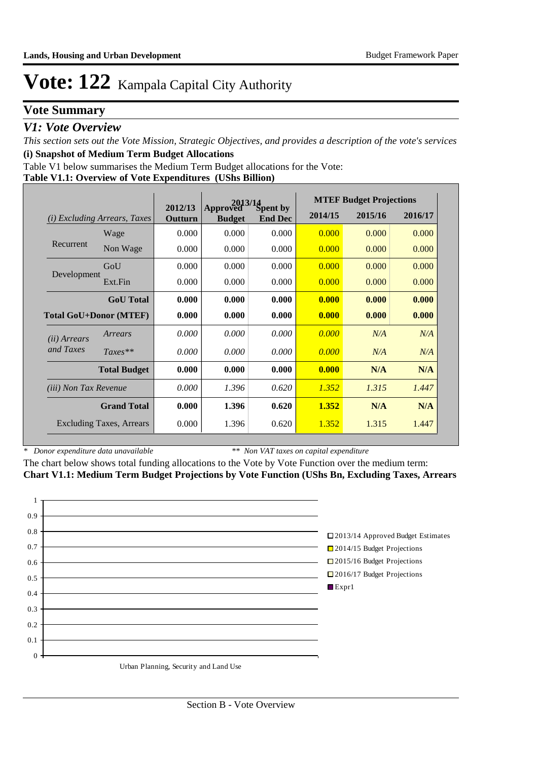## **Vote Summary**

### *V1: Vote Overview*

*This section sets out the Vote Mission, Strategic Objectives, and provides a description of the vote's services* **(i) Snapshot of Medium Term Budget Allocations** 

Table V1 below summarises the Medium Term Budget allocations for the Vote:

#### **Table V1.1: Overview of Vote Expenditures (UShs Billion)**

|                               |                                 | $2013/14$<br>ved Spent by<br>2012/13 |                           |                | <b>MTEF Budget Projections</b> |         |         |  |
|-------------------------------|---------------------------------|--------------------------------------|---------------------------|----------------|--------------------------------|---------|---------|--|
| (i)                           | <i>Excluding Arrears, Taxes</i> | Outturn                              | Approved<br><b>Budget</b> | <b>End Dec</b> | 2014/15                        | 2015/16 | 2016/17 |  |
|                               | Wage                            | 0.000                                | 0.000                     | 0.000          | 0.000                          | 0.000   | 0.000   |  |
| Recurrent                     | Non Wage                        | 0.000                                | 0.000                     | 0.000          | 0.000                          | 0.000   | 0.000   |  |
|                               | GoU                             | 0.000                                | 0.000                     | 0.000          | 0.000                          | 0.000   | 0.000   |  |
| Development                   | Ext.Fin                         | 0.000                                | 0.000                     | 0.000          | 0.000                          | 0.000   | 0.000   |  |
|                               | <b>GoU</b> Total                | 0.000                                | 0.000                     | 0.000          | 0.000                          | 0.000   | 0.000   |  |
| <b>Total GoU+Donor (MTEF)</b> |                                 | 0.000                                | 0.000                     | 0.000          | 0.000                          | 0.000   | 0.000   |  |
| ( <i>ii</i> ) Arrears         | Arrears                         | 0.000                                | 0.000                     | 0.000          | 0.000                          | N/A     | N/A     |  |
| and Taxes                     | $Taxes**$                       | 0.000                                | 0.000                     | 0.000          | 0.000                          | N/A     | N/A     |  |
|                               | <b>Total Budget</b>             | 0.000                                | 0.000                     | 0.000          | 0.000                          | N/A     | N/A     |  |
| <i>(iii)</i> Non Tax Revenue  |                                 | 0.000                                | 1.396                     | 0.620          | 1.352                          | 1.315   | 1.447   |  |
|                               | <b>Grand Total</b>              | 0.000                                | 1.396                     | 0.620          | 1.352                          | N/A     | N/A     |  |
|                               | <b>Excluding Taxes, Arrears</b> | 0.000                                | 1.396                     | 0.620          | 1.352                          | 1.315   | 1.447   |  |

*\* Donor expenditure data unavailable*

*\*\* Non VAT taxes on capital expenditure*

The chart below shows total funding allocations to the Vote by Vote Function over the medium term: **Chart V1.1: Medium Term Budget Projections by Vote Function (UShs Bn, Excluding Taxes, Arrears**

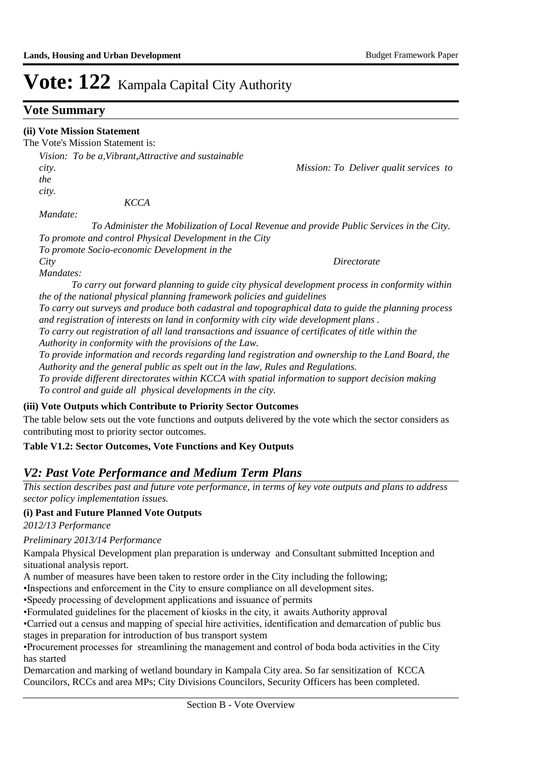## **Vote Summary**

#### **(ii) Vote Mission Statement**

The Vote's Mission Statement is:

*Vision: To be a,Vibrant,Attractive and sustainable city. Mission: To Deliver qualit services to the city.* 

 *KCCA* 

*Mandate:* 

 *To Administer the Mobilization of Local Revenue and provide Public Services in the City. To promote and control Physical Development in the City*

*To promote Socio-economic Development in the City Directorate* 

*Mandates:* 

 *To carry out forward planning to guide city physical development process in conformity within the of the national physical planning framework policies and guidelines* 

*To carry out surveys and produce both cadastral and topographical data to guide the planning process and registration of interests on land in conformity with city wide development plans .* 

*To carry out registration of all land transactions and issuance of certificates of title within the Authority in conformity with the provisions of the Law.* 

*To provide information and records regarding land registration and ownership to the Land Board, the Authority and the general public as spelt out in the law, Rules and Regulations.*

*To provide different directorates within KCCA with spatial information to support decision making To control and guide all physical developments in the city.*

#### **(iii) Vote Outputs which Contribute to Priority Sector Outcomes**

The table below sets out the vote functions and outputs delivered by the vote which the sector considers as contributing most to priority sector outcomes.

#### **Table V1.2: Sector Outcomes, Vote Functions and Key Outputs**

## *V2: Past Vote Performance and Medium Term Plans*

*This section describes past and future vote performance, in terms of key vote outputs and plans to address sector policy implementation issues.* 

#### **(i) Past and Future Planned Vote Outputs**

*2012/13 Performance*

## *Preliminary 2013/14 Performance*

Kampala Physical Development plan preparation is underway and Consultant submitted Inception and situational analysis report.

A number of measures have been taken to restore order in the City including the following;

• Inspections and enforcement in the City to ensure compliance on all development sites.

• Speedy processing of development applications and issuance of permits

• Formulated guidelines for the placement of kiosks in the city, it awaits Authority approval

• Carried out a census and mapping of special hire activities, identification and demarcation of public bus stages in preparation for introduction of bus transport system

• Procurement processes for streamlining the management and control of boda boda activities in the City has started

Demarcation and marking of wetland boundary in Kampala City area. So far sensitization of KCCA Councilors, RCCs and area MPs; City Divisions Councilors, Security Officers has been completed.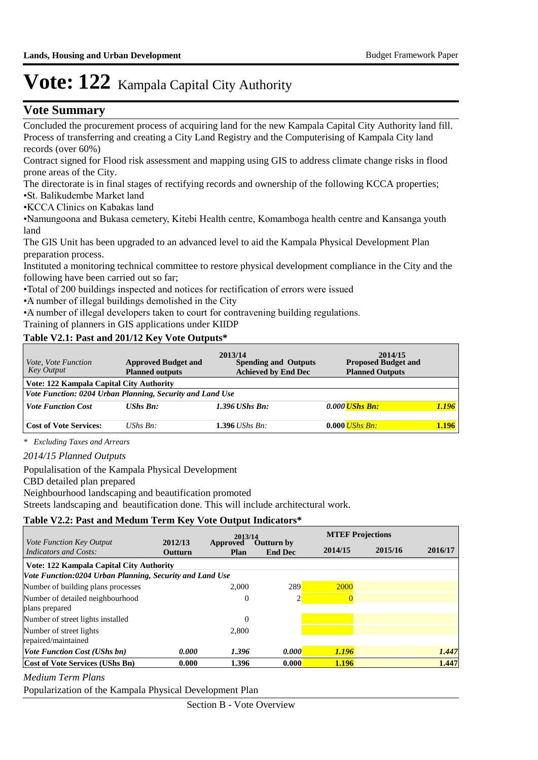## **Vote Summary**

Concluded the procurement process of acquiring land for the new Kampala Capital City Authority land fill. Process of transferring and creating a City Land Registry and the Computerising of Kampala City land records (over 60%)

Contract signed for Flood risk assessment and mapping using GIS to address climate change risks in flood prone areas of the City.

The directorate is in final stages of rectifying records and ownership of the following KCCA properties;

- • St. Balikudembe Market land
- • KCCA Clinics on Kabakas land

• Namungoona and Bukasa cemetery, Kitebi Health centre, Komamboga health centre and Kansanga youth land

The GIS Unit has been upgraded to an advanced level to aid the Kampala Physical Development Plan preparation process.

Instituted a monitoring technical committee to restore physical development compliance in the City and the following have been carried out so far;

•Total of 200 buildings inspected and notices for rectification of errors were issued

• A number of illegal buildings demolished in the City

• A number of illegal developers taken to court for contravening building regulations.

Training of planners in GIS applications under KIIDP

#### **Table V2.1: Past and 201/12 Key Vote Outputs\***

| <i>Vote, Vote Function</i><br><b>Key Output</b>           | <b>Approved Budget and</b><br><b>Planned outputs</b> | 2013/14<br><b>Spending and Outputs</b><br><b>Achieved by End Dec</b> | 2014/15<br><b>Proposed Budget and</b><br><b>Planned Outputs</b> |       |  |  |  |  |  |
|-----------------------------------------------------------|------------------------------------------------------|----------------------------------------------------------------------|-----------------------------------------------------------------|-------|--|--|--|--|--|
| Vote: 122 Kampala Capital City Authority                  |                                                      |                                                                      |                                                                 |       |  |  |  |  |  |
| Vote Function: 0204 Urban Planning, Security and Land Use |                                                      |                                                                      |                                                                 |       |  |  |  |  |  |
| <b>Vote Function Cost</b>                                 | <b>UShs Bn:</b>                                      | $1.396$ UShs Bn:                                                     | 0.000 <i>UShs Bn:</i>                                           | 1.196 |  |  |  |  |  |
|                                                           |                                                      |                                                                      |                                                                 |       |  |  |  |  |  |
| <b>Cost of Vote Services:</b>                             | UShs $Bn$ :                                          | $1.396$ UShs Bn:                                                     | $0.000$ <i>UShs Bn:</i>                                         | 1.196 |  |  |  |  |  |

*\* Excluding Taxes and Arrears*

*2014/15 Planned Outputs*

Populalisation of the Kampala Physical Development

CBD detailed plan prepared

Neighbourhood landscaping and beautification promoted

Streets landscaping and beautification done. This will include architectural work.

#### **Table V2.2: Past and Medum Term Key Vote Output Indicators\***

|                                                          |                           | 2013/14                 |                              | <b>MTEF Projections</b> |         |         |
|----------------------------------------------------------|---------------------------|-------------------------|------------------------------|-------------------------|---------|---------|
| <i>Vote Function Key Output</i><br>Indicators and Costs: | 2012/13<br><b>Outturn</b> | Approved<br><b>Plan</b> | Outturn by<br><b>End Dec</b> | 2014/15                 | 2015/16 | 2016/17 |
| Vote: 122 Kampala Capital City Authority                 |                           |                         |                              |                         |         |         |
| Vote Function:0204 Urban Planning, Security and Land Use |                           |                         |                              |                         |         |         |
| Number of building plans processes                       |                           | 2.000                   | 289                          | 2000                    |         |         |
| Number of detailed neighbourhood<br>plans prepared       |                           | $\mathbf{0}$            | 2                            | $\overline{0}$          |         |         |
| Number of street lights installed                        |                           | $\mathbf{0}$            |                              |                         |         |         |
| Number of street lights<br>repaired/maintained           |                           | 2,800                   |                              |                         |         |         |
| <i>Vote Function Cost (UShs bn)</i>                      | 0.000                     | 1.396                   | 0.000                        | <b>1.196</b>            |         | 1.447   |
| Cost of Vote Services (UShs Bn)                          | 0.000                     | 1.396                   | 0.000                        | 1.196                   |         | 1.447   |

*Medium Term Plans*

Popularization of the Kampala Physical Development Plan

Section B - Vote Overview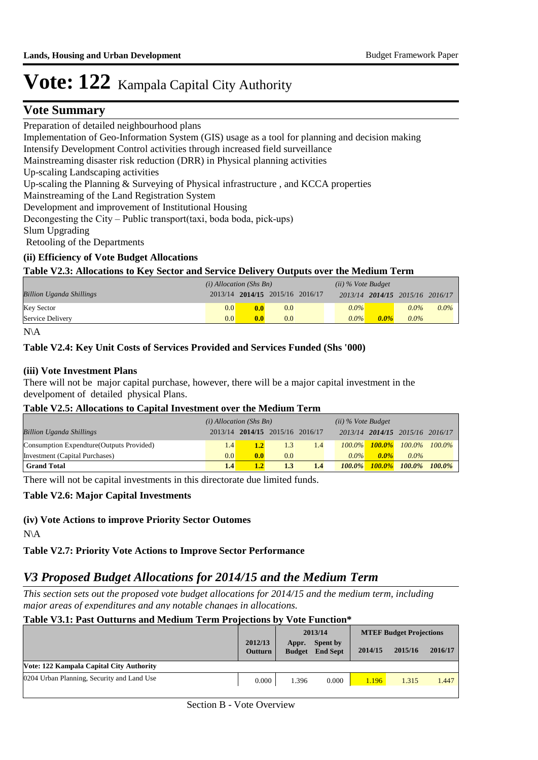### **Vote Summary**

Preparation of detailed neighbourhood plans

Implementation of Geo-Information System (GIS) usage as a tool for planning and decision making

Intensify Development Control activities through increased field surveillance

Mainstreaming disaster risk reduction (DRR) in Physical planning activities

Up-scaling Landscaping activities

Up-scaling the Planning & Surveying of Physical infrastructure , and KCCA properties

Mainstreaming of the Land Registration System

Development and improvement of Institutional Housing

Decongesting the City – Public transport(taxi, boda boda, pick-ups)

Slum Upgrading

Retooling of the Departments

#### **(ii) Efficiency of Vote Budget Allocations**

#### **Table V2.3: Allocations to Key Sector and Service Delivery Outputs over the Medium Term**

|                                 | $(i)$ Allocation (Shs Bn) |                                 |     | $(ii)$ % Vote Budget |         |         |                                 |         |
|---------------------------------|---------------------------|---------------------------------|-----|----------------------|---------|---------|---------------------------------|---------|
| <b>Billion Uganda Shillings</b> |                           | 2013/14 2014/15 2015/16 2016/17 |     |                      |         |         | 2013/14 2014/15 2015/16 2016/17 |         |
| <b>Key Sector</b>               | 0.0                       | 0.0                             | 0.0 |                      | $0.0\%$ |         | $0.0\%$                         | $0.0\%$ |
| Service Delivery                | 0.0                       | 0.0                             | 0.0 |                      | $0.0\%$ | $0.0\%$ | $0.0\%$                         |         |

N\A

#### **Table V2.4: Key Unit Costs of Services Provided and Services Funded (Shs '000)**

#### **(iii) Vote Investment Plans**

There will not be major capital purchase, however, there will be a major capital investment in the develpoment of detailed physical Plans.

#### **Table V2.5: Allocations to Capital Investment over the Medium Term**

|                                           | $(i)$ Allocation (Shs Bn) |                  |                                 |     | $(ii)$ % Vote Budget |           |                                 |           |
|-------------------------------------------|---------------------------|------------------|---------------------------------|-----|----------------------|-----------|---------------------------------|-----------|
| <b>Billion Uganda Shillings</b>           |                           |                  | 2013/14 2014/15 2015/16 2016/17 |     |                      |           | 2013/14 2014/15 2015/16 2016/17 |           |
| Consumption Expendture (Outputs Provided) | 1.4                       | 1.2 <sub>1</sub> | 1.3                             | 1.4 | $100.0\%$            |           | $100.0\%$ $100.0\%$ $100.0\%$   |           |
| Investment (Capital Purchases)            | 0.0                       | 0.0              | 0.0                             |     | $0.0\%$              | $0.0\%$   | $0.0\%$                         |           |
| <b>Grand Total</b>                        | 1.4                       |                  | 1.3                             | 1.4 | $100.0\%$            | $100.0\%$ | $100.0\%$                       | $100.0\%$ |

There will not be capital investments in this directorate due limited funds.

#### **Table V2.6: Major Capital Investments**

#### **(iv) Vote Actions to improve Priority Sector Outomes**

N\A

**Table V2.7: Priority Vote Actions to Improve Sector Performance** 

## *V3 Proposed Budget Allocations for 2014/15 and the Medium Term*

*This section sets out the proposed vote budget allocations for 2014/15 and the medium term, including major areas of expenditures and any notable changes in allocations.* 

## **Table V3.1: Past Outturns and Medium Term Projections by Vote Function\***

|                                            |                           | 2013/14                |                             | <b>MTEF Budget Projections</b> |         |         |
|--------------------------------------------|---------------------------|------------------------|-----------------------------|--------------------------------|---------|---------|
|                                            | 2012/13<br><b>Outturn</b> | Appr.<br><b>Budget</b> | Spent by<br><b>End Sept</b> | 2014/15                        | 2015/16 | 2016/17 |
| Vote: 122 Kampala Capital City Authority   |                           |                        |                             |                                |         |         |
| 0204 Urban Planning, Security and Land Use | 0.000                     | 1.396                  | 0.000                       | 1.196                          | 1.315   | 1.447   |
|                                            |                           |                        |                             |                                |         |         |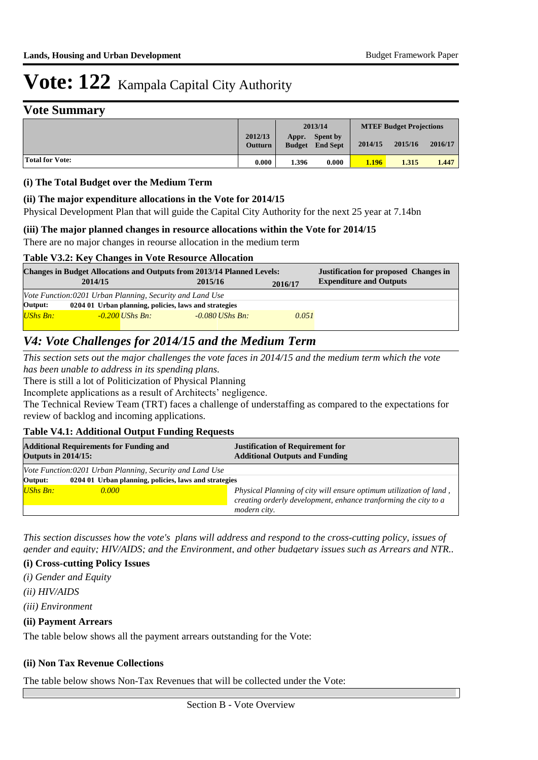### **Vote Summary**

|                 |                           | 2013/14                |                                    | <b>MTEF Budget Projections</b> |         |         |  |
|-----------------|---------------------------|------------------------|------------------------------------|--------------------------------|---------|---------|--|
|                 | 2012/13<br><b>Outturn</b> | Appr.<br><b>Budget</b> | <b>Spent by</b><br><b>End Sept</b> | 2014/15                        | 2015/16 | 2016/17 |  |
| Total for Vote: | 0.000                     | 1.396                  | 0.000                              | 1.196                          | 1.315   | 1.447   |  |

#### **(i) The Total Budget over the Medium Term**

#### **(ii) The major expenditure allocations in the Vote for 2014/15**

Physical Development Plan that will guide the Capital City Authority for the next 25 year at 7.14bn

#### **(iii) The major planned changes in resource allocations within the Vote for 2014/15**

There are no major changes in reourse allocation in the medium term

#### **Table V3.2: Key Changes in Vote Resource Allocation**

| <b>Changes in Budget Allocations and Outputs from 2013/14 Planned Levels:</b> |                                                          | <b>Justification for proposed Changes in</b> |                   |         |                                |  |  |  |  |
|-------------------------------------------------------------------------------|----------------------------------------------------------|----------------------------------------------|-------------------|---------|--------------------------------|--|--|--|--|
|                                                                               | 2014/15                                                  |                                              | 2015/16           | 2016/17 | <b>Expenditure and Outputs</b> |  |  |  |  |
|                                                                               | Vote Function:0201 Urban Planning, Security and Land Use |                                              |                   |         |                                |  |  |  |  |
| Output:                                                                       | 0204 01 Urban planning, policies, laws and strategies    |                                              |                   |         |                                |  |  |  |  |
| <b>UShs Bn:</b>                                                               |                                                          | $-0.200$ UShs Bn:                            | $-0.080$ UShs Bn: | 0.051   |                                |  |  |  |  |

## *V4: Vote Challenges for 2014/15 and the Medium Term*

*This section sets out the major challenges the vote faces in 2014/15 and the medium term which the vote has been unable to address in its spending plans.*

There is still a lot of Politicization of Physical Planning

Incomplete applications as a result of Architects' negligence.

The Technical Review Team (TRT) faces a challenge of understaffing as compared to the expectations for review of backlog and incoming applications.

#### **Table V4.1: Additional Output Funding Requests**

| <b>Outputs in 2014/15:</b> | <b>Additional Requirements for Funding and</b>           | <b>Justification of Requirement for</b><br><b>Additional Outputs and Funding</b>                                                      |  |  |  |  |  |  |
|----------------------------|----------------------------------------------------------|---------------------------------------------------------------------------------------------------------------------------------------|--|--|--|--|--|--|
|                            | Vote Function:0201 Urban Planning, Security and Land Use |                                                                                                                                       |  |  |  |  |  |  |
| Output:                    | 0204 01 Urban planning, policies, laws and strategies    |                                                                                                                                       |  |  |  |  |  |  |
| UShs Bn:                   | 0.000                                                    | Physical Planning of city will ensure optimum utilization of land,<br>creating orderly development, enhance tranforming the city to a |  |  |  |  |  |  |
|                            |                                                          | modern city.                                                                                                                          |  |  |  |  |  |  |

*This section discusses how the vote's plans will address and respond to the cross-cutting policy, issues of gender and equity; HIV/AIDS; and the Environment, and other budgetary issues such as Arrears and NTR..* 

#### **(i) Cross-cutting Policy Issues**

- *(i) Gender and Equity*
- *(ii) HIV/AIDS*
- *(iii) Environment*

#### **(ii) Payment Arrears**

The table below shows all the payment arrears outstanding for the Vote:

#### **(ii) Non Tax Revenue Collections**

The table below shows Non-Tax Revenues that will be collected under the Vote: